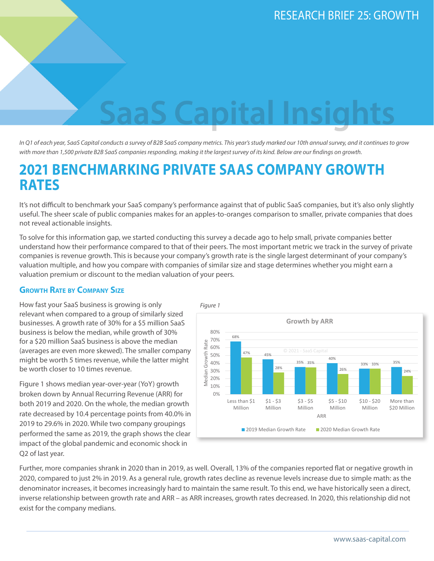# **Capita**

*In Q1 of each year, SaaS Capital conducts a survey of B2B SaaS company metrics. This year's study marked our 10th annual survey, and it continues to grow with more than 1,500 private B2B SaaS companies responding, making it the largest survey of its kind. Below are our findings on growth.* 

# **2021 BENCHMARKING PRIVATE SAAS COMPANY GROWTH RATES**

It's not difficult to benchmark your SaaS company's performance against that of public SaaS companies, but it's also only slightly useful. The sheer scale of public companies makes for an apples-to-oranges comparison to smaller, private companies that does not reveal actionable insights.

To solve for this information gap, we started conducting this survey a decade ago to help small, private companies better understand how their performance compared to that of their peers. The most important metric we track in the survey of private companies is revenue growth. This is because your company's growth rate is the single largest determinant of your company's valuation multiple, and how you compare with companies of similar size and stage determines whether you might earn a valuation premium or discount to the median valuation of your peers.

### **Growth Rate by Company Size**

How fast your SaaS business is growing is only relevant when compared to a group of similarly sized businesses. A growth rate of 30% for a \$5 million SaaS business is below the median, while growth of 30% for a \$20 million SaaS business is above the median (averages are even more skewed). The smaller company might be worth 5 times revenue, while the latter might be worth closer to 10 times revenue.

Figure 1 shows median year-over-year (YoY) growth broken down by Annual Recurring Revenue (ARR) for both 2019 and 2020. On the whole, the median growth rate decreased by 10.4 percentage points from 40.0% in 2019 to 29.6% in 2020. While two company groupings performed the same as 2019, the graph shows the clear impact of the global pandemic and economic shock in Q2 of last year.



Further, more companies shrank in 2020 than in 2019, as well. Overall, 13% of the companies reported flat or negative growth in 2020, compared to just 2% in 2019. As a general rule, growth rates decline as revenue levels increase due to simple math: as the denominator increases, it becomes increasingly hard to maintain the same result. To this end, we have historically seen a direct, inverse relationship between growth rate and ARR – as ARR increases, growth rates decreased. In 2020, this relationship did not exist for the company medians.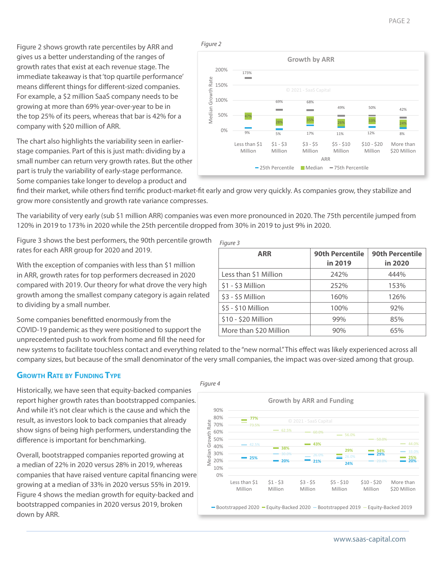PAGE 2

Figure 2 shows growth rate percentiles by ARR and gives us a better understanding of the ranges of growth rates that exist at each revenue stage. The immediate takeaway is that 'top quartile performance' means different things for different-sized companies. For example, a \$2 million SaaS company needs to be growing at more than 69% year-over-year to be in the top 25% of its peers, whereas that bar is 42% for a company with \$20 million of ARR.

The chart also highlights the variability seen in earlierstage companies. Part of this is just math: dividing by a small number can return very growth rates. But the other part is truly the variability of early-stage performance. Some companies take longer to develop a product and

*Figure 2*



find their market, while others find terrific product-market-fit early and grow very quickly. As companies grow, they stabilize and grow more consistently and growth rate variance compresses.

The variability of very early (sub \$1 million ARR) companies was even more pronounced in 2020. The 75th percentile jumped from 120% in 2019 to 173% in 2020 while the 25th percentile dropped from 30% in 2019 to just 9% in 2020.

Figure 3 shows the best performers, the 90th percentile growth rates for each ARR group for 2020 and 2019.

With the exception of companies with less than \$1 million in ARR, growth rates for top performers decreased in 2020 compared with 2019. Our theory for what drove the very high growth among the smallest company category is again related to dividing by a small number.

Some companies benefitted enormously from the COVID-19 pandemic as they were positioned to support the unprecedented push to work from home and fill the need for

| Figure 3               |                                   |                                   |
|------------------------|-----------------------------------|-----------------------------------|
| <b>ARR</b>             | <b>90th Percentile</b><br>in 2019 | <b>90th Percentile</b><br>in 2020 |
| Less than \$1 Million  | 242%                              | 444%                              |
| $$1 - $3$ Million      | 252%                              | 153%                              |
| $$3 - $5$ Million      | 160%                              | 126%                              |
| \$5 - \$10 Million     | 100%                              | 92%                               |
| \$10 - \$20 Million    | 99%                               | 85%                               |
| More than \$20 Million | 90%                               | 65%                               |

new systems to facilitate touchless contact and everything related to the "new normal." This effect was likely experienced across all company sizes, but because of the small denominator of the very small companies, the impact was over-sized among that group.

## **Growth Rate by Funding Type**

Historically, we have seen that equity-backed companies report higher growth rates than bootstrapped companies. And while it's not clear which is the cause and which the result, as investors look to back companies that already show signs of being high performers, understanding the difference is important for benchmarking.

Overall, bootstrapped companies reported growing at a median of 22% in 2020 versus 28% in 2019, whereas companies that have raised venture capital financing were growing at a median of 33% in 2020 versus 55% in 2019. Figure 4 shows the median growth for equity-backed and bootstrapped companies in 2020 versus 2019, broken down by ARR.

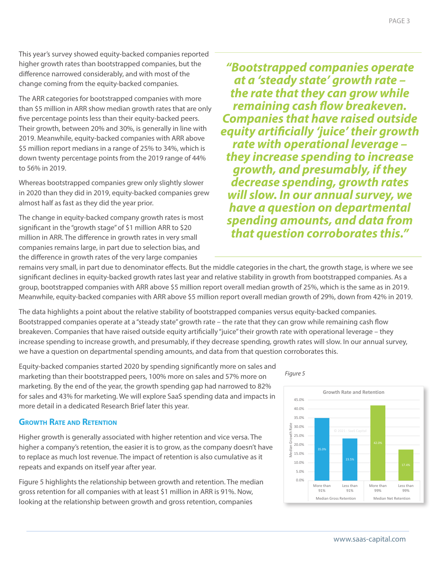This year's survey showed equity-backed companies reported higher growth rates than bootstrapped companies, but the difference narrowed considerably, and with most of the change coming from the equity-backed companies.

The ARR categories for bootstrapped companies with more than \$5 million in ARR show median growth rates that are only five percentage points less than their equity-backed peers. Their growth, between 20% and 30%, is generally in line with 2019. Meanwhile, equity-backed companies with ARR above \$5 million report medians in a range of 25% to 34%, which is down twenty percentage points from the 2019 range of 44% to 56% in 2019.

Whereas bootstrapped companies grew only slightly slower in 2020 than they did in 2019, equity-backed companies grew almost half as fast as they did the year prior.

The change in equity-backed company growth rates is most significant in the "growth stage" of \$1 million ARR to \$20 million in ARR. The difference in growth rates in very small companies remains large, in part due to selection bias, and the difference in growth rates of the very large companies

*"Bootstrapped companies operate at a 'steady state' growth rate – the rate that they can grow while remaining cash flow breakeven. Companies that have raised outside equity artificially 'juice' their growth rate with operational leverage – they increase spending to increase growth, and presumably, if they decrease spending, growth rates will slow. In our annual survey, we have a question on departmental spending amounts, and data from that question corroborates this."*

remains very small, in part due to denominator effects. But the middle categories in the chart, the growth stage, is where we see significant declines in equity-backed growth rates last year and relative stability in growth from bootstrapped companies. As a group, bootstrapped companies with ARR above \$5 million report overall median growth of 25%, which is the same as in 2019. Meanwhile, equity-backed companies with ARR above \$5 million report overall median growth of 29%, down from 42% in 2019.

The data highlights a point about the relative stability of bootstrapped companies versus equity-backed companies. Bootstrapped companies operate at a "steady state" growth rate – the rate that they can grow while remaining cash flow breakeven. Companies that have raised outside equity artificially "juice" their growth rate with operational leverage – they increase spending to increase growth, and presumably, if they decrease spending, growth rates will slow. In our annual survey, we have a question on departmental spending amounts, and data from that question corroborates this.

Equity-backed companies started 2020 by spending significantly more on sales and marketing than their bootstrapped peers, 100% more on sales and 57% more on marketing. By the end of the year, the growth spending gap had narrowed to 82% for sales and 43% for marketing. We will explore SaaS spending data and impacts in more detail in a dedicated Research Brief later this year.

# **Growth Rate and Retention**

Higher growth is generally associated with higher retention and vice versa. The higher a company's retention, the easier it is to grow, as the company doesn't have to replace as much lost revenue. The impact of retention is also cumulative as it repeats and expands on itself year after year.

Figure 5 highlights the relationship between growth and retention. The median gross retention for all companies with at least \$1 million in ARR is 91%. Now, looking at the relationship between growth and gross retention, companies

*Figure 5*

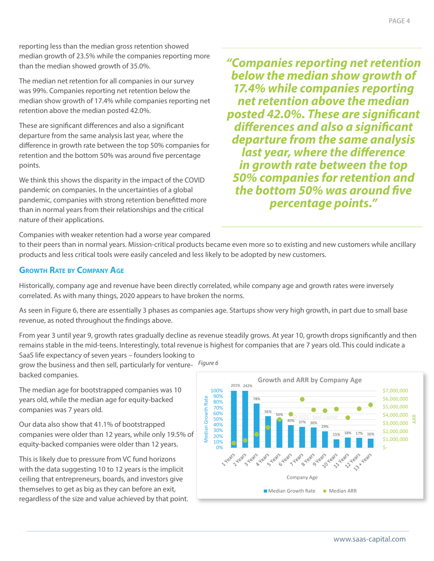reporting less than the median gross retention showed median growth of 23.5% while the companies reporting more than the median showed growth of 35.0%.

The median net retention for all companies in our survey was 99%. Companies reporting net retention below the median show growth of 17.4% while companies reporting net retention above the median posted 42.0%.

These are significant differences and also a significant departure from the same analysis last year, where the difference in growth rate between the top 50% companies for retention and the bottom 50% was around five percentage points.

We think this shows the disparity in the impact of the COVID pandemic on companies. In the uncertainties of a global pandemic, companies with strong retention benefitted more than in normal years from their relationships and the critical nature of their applications.

*"Companies reporting net retention below the median show growth of 17.4% while companies reporting net retention above the median posted 42.0%. These are significant differences and also a significant departure from the same analysis last year, where the difference in growth rate between the top 50% companies for retention and the bottom 50% was around five percentage points."*

Companies with weaker retention had a worse year compared

to their peers than in normal years. Mission-critical products became even more so to existing and new customers while ancillary products and less critical tools were easily canceled and less likely to be adopted by new customers.

## **Growth Rate by Company Age**

Historically, company age and revenue have been directly correlated, while company age and growth rates were inversely correlated. As with many things, 2020 appears to have broken the norms.

As seen in Figure 6, there are essentially 3 phases as companies age. Startups show very high growth, in part due to small base revenue, as noted throughout the findings above.

From year 3 until year 9, growth rates gradually decline as revenue steadily grows. At year 10, growth drops significantly and then remains stable in the mid-teens. Interestingly, total revenue is highest for companies that are 7 years old. This could indicate a

SaaS life expectancy of seven years – founders looking to grow the business and then sell, particularly for venturebacked companies. *Figure 6*

The median age for bootstrapped companies was 10 years old, while the median age for equity-backed companies was 7 years old.

Our data also show that 41.1% of bootstrapped companies were older than 12 years, while only 19.5% of equity-backed companies were older than 12 years.

This is likely due to pressure from VC fund horizons with the data suggesting 10 to 12 years is the implicit ceiling that entrepreneurs, boards, and investors give themselves to get as big as they can before an exit, regardless of the size and value achieved by that point.

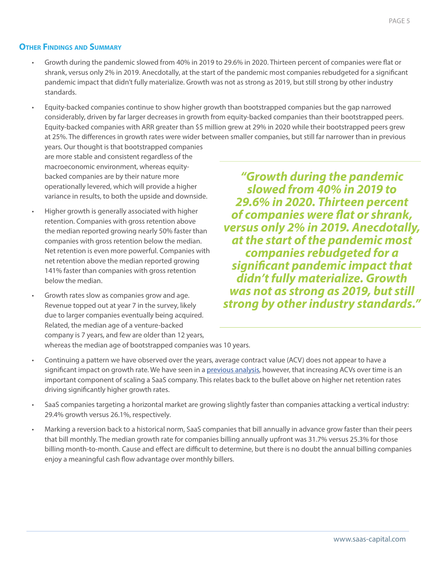### **Other Findings and Summary**

- Growth during the pandemic slowed from 40% in 2019 to 29.6% in 2020. Thirteen percent of companies were flat or shrank, versus only 2% in 2019. Anecdotally, at the start of the pandemic most companies rebudgeted for a significant pandemic impact that didn't fully materialize. Growth was not as strong as 2019, but still strong by other industry standards.
- Equity-backed companies continue to show higher growth than bootstrapped companies but the gap narrowed considerably, driven by far larger decreases in growth from equity-backed companies than their bootstrapped peers. Equity-backed companies with ARR greater than \$5 million grew at 29% in 2020 while their bootstrapped peers grew at 25%. The differences in growth rates were wider between smaller companies, but still far narrower than in previous

years. Our thought is that bootstrapped companies are more stable and consistent regardless of the macroeconomic environment, whereas equitybacked companies are by their nature more operationally levered, which will provide a higher variance in results, to both the upside and downside.

- Higher growth is generally associated with higher retention. Companies with gross retention above the median reported growing nearly 50% faster than companies with gross retention below the median. Net retention is even more powerful. Companies with net retention above the median reported growing 141% faster than companies with gross retention below the median.
- Growth rates slow as companies grow and age. Revenue topped out at year 7 in the survey, likely due to larger companies eventually being acquired. Related, the median age of a venture-backed company is 7 years, and few are older than 12 years, whereas the median age of bootstrapped companies was 10 years.
- Continuing a pattern we have observed over the years, average contract value (ACV) does not appear to have a significant impact on growth rate. We have seen in a [previous analysis,](https://www.saas-capital.com/resources/rb14-annual-contract-value-impact-saas-scalability) however, that increasing ACVs over time is an important component of scaling a SaaS company. This relates back to the bullet above on higher net retention rates driving significantly higher growth rates.
- SaaS companies targeting a horizontal market are growing slightly faster than companies attacking a vertical industry: 29.4% growth versus 26.1%, respectively.
- Marking a reversion back to a historical norm, SaaS companies that bill annually in advance grow faster than their peers that bill monthly. The median growth rate for companies billing annually upfront was 31.7% versus 25.3% for those billing month-to-month. Cause and effect are difficult to determine, but there is no doubt the annual billing companies enjoy a meaningful cash flow advantage over monthly billers.

*"Growth during the pandemic slowed from 40% in 2019 to 29.6% in 2020. Thirteen percent of companies were flat or shrank, versus only 2% in 2019. Anecdotally, at the start of the pandemic most companies rebudgeted for a significant pandemic impact that didn't fully materialize. Growth was not as strong as 2019, but still strong by other industry standards."*